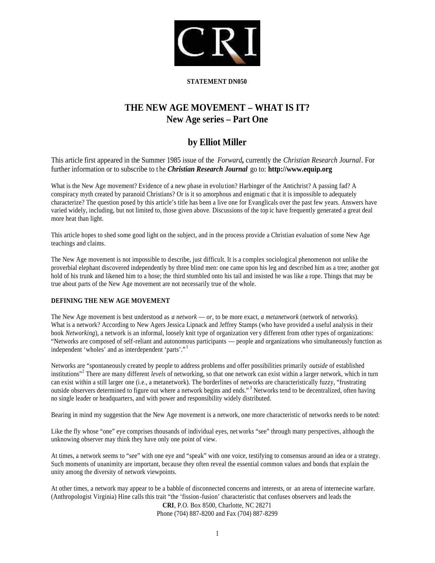

## **STATEMENT DN050**

# **THE NEW AGE MOVEMENT – WHAT IS IT? New Age series – Part One**

# **by Elliot Miller**

This article first appeared in the Summer 1985 issue of the *Forward,* currently the *Christian Research Journal*. For further information or to subscribe to the *Christian Research Journal* go to: http://www.equip.org

What is the New Age movement? Evidence of a new phase in evolu tion? Harbinger of the Antichrist? A passing fad? A conspiracy myth created by paranoid Christians? Or is it so amorphous and enigmati c that it is impossible to adequately characterize? The question posed by this article's title has been a live one for Evanglicals over the past few years. Answers have varied widely, including, but not limited to, those given above. Discussions of the top ic have frequently generated a great deal more heat than light.

This article hopes to shed some good light on the subject, and in the process provide a Christian evaluation of some New Age teachings and claims.

The New Age movement is not impossible to describe, just difficult. It is a complex sociological phenomenon not unlike the proverbial elephant discovered independently by three blind men: one came upon his leg and described him as a tree; another got hold of his trunk and likened him to a hose; the third stumbled onto his tail and insisted he was like a rope. Things that may be true about parts of the New Age movement are not necessarily true of the whole.

# **DEFINING THE NEW AGE MOVEMENT**

The New Age movement is best understood as *a network* — *or*, to be more exact, *a metanetwork* (network of networks). What is a network? According to New Agers Jessica Lipnack and Jeffrey Stamps (who have provided a useful analysis in their book *Networking*), a network is an informal, loosely knit type of organization ver y different from other types of organizations: "Networks are composed of self-reliant and autonomous participants — people and organizations who simultaneously function as independent 'wholes' and as interdependent 'parts'." <sup>1</sup>

Networks are "spontaneously created by people to address problems and offer possibilities primarily *outside* of established institutions"<sup>2</sup> There are many different *levels* of networking, so that one network can exist within a larger network, which in turn can exist within a still larger one (i.e., a metanetwork). The borderlines of networks are characteristically fuzzy, "frustrating outside observers determined to figure out where a network begins and ends." <sup>3</sup> Networks tend to be decentralized, often having no single leader or headquarters, and with power and responsibility widely distributed.

Bearing in mind my suggestion that the New Age movement is a network, one more characteristic of networks needs to be noted:

Like the fly whose "one" eye comprises thousands of individual eyes, net works "see" through many perspectives, although the unknowing observer may think they have only one point of view.

At times, a network seems to "see" with one eye and "speak" with one voice, testifying to consensus around an idea or a strategy. Such moments of unanimity are important, because they often reveal the essential common values and bonds that explain the unity among the diversity of network viewpoints.

At other times, a network may appear to be a babble of disconnected concerns and interests, or an arena of internecine warfare. (Anthropologist Virginia) Hine calls this trait "the 'fission -fusion' characteristic that confuses observers and leads the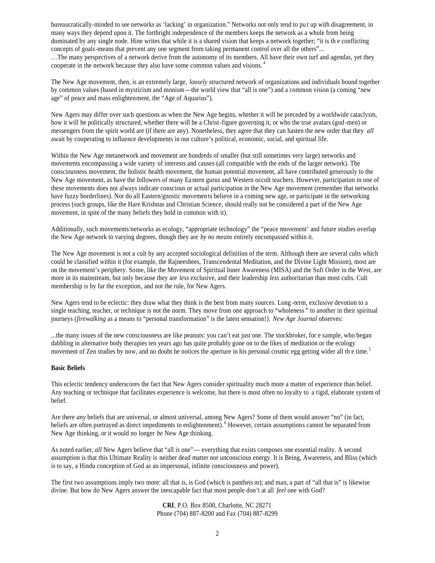bureaucratically-minded to see networks as 'lacking' in organization." Networks not only tend to pu t up with disagreement, in many ways they depend upon it. The forthright independence of the members keeps the network as a whole from being dominated by any single node. Hine writes that while it is a shared vision that keeps a network together; "it is th e conflicting concepts of goals-means that prevent any one segment from taking permanent control over all the others"...

…The many perspectives of a network derive from the autonomy of its members. All have their own turf and agendas, yet they cooperate in the network because they also have some common values and visions. <sup>4</sup>

The New Age movement, then, is an extremely large, *loosely* structured network of organizations and individuals bound together by common values (based in mysticism and monism—the world view that "all is one") and a common vision (a coming "new age" of peace and mass enlightenment, the "Age of Aquarius").

New Agers may differ over such questions as when the New Age begins, whether it will be preceded by a worldwide cataclysm, how it will be politically structured, whether there will be a Christ-figure governing it, or who the true avatars (god-men) or messengers from the spirit world are (if there are any). Nonetheless, they agree that they can hasten the new order that they *all* await by cooperating to influence developments in our culture's political, economic, social, and spiritual life.

Within the New Age metanetwork and movement are hundreds of smaller (but still sometimes very large) networks and movements encompassing a wide variety of interests and causes (all compatible with the ends of the larger network). The consciousness movement, the holistic health movement, the human potential movement, all have contributed generously to the New Age movement, as have the followers of many Ea stern gurus and Western occult teachers. However, participation in one of these movements does not always indicate conscious or actual participation in the New Age movement (remember that networks have fuzzy borderlines). Nor do all Eastern/gnostic movemen ts believe in a coming new age, or participate in the networking process (such groups, like the Hare Krishnas and Christian Science, should really not be considered a part of the New Age movement, in spite of the many beliefs they hold in common with it).

Additionally, such movements/networks as ecology, "appropriate technology" the "peace movement' and future studies overlap the New Age network to varying degrees, though they are *by no means* entirely encompassed within it.

The New Age movement is not a cult by any accepted sociological definition of the term. Although there are several cults which could be classified within it (for example, the Rajneeshees, Transcendental Meditation, and the Divine Light Mission), most are on the movement's periphery. Some, like the Movement of Spiritual Inner Awareness (MISA) and the Sufi Order in the West, are more in its mainstream, but only because they are *less* exclusive, and their leadership *less* authoritarian than most cults. Cult membership is by far the exception, and not the rule, for New Agers.

New Agers tend to be eclectic: they draw what they think is the best from many sources. Long -term, exclusive devotion to a single teaching, teacher, or technique is not the norm. They move from one approach to "wholeness " to another in their spiritual journeys (*firewalking* as a means to "personal transformation" is the latest sensation!). *New Age Journal* observes:

...the many issues of the new consciousness are like peanuts: you can't eat just one. The stockbroker, for e xample, who began dabbling in alternative body therapies ten years ago has quite probably gone on to the likes of meditation or the ecology movement of Zen studies by now, and no doubt he notices the aperture in his personal cosmic egg getting wider all the time.<sup>5</sup>

## **Basic Beliefs**

This eclectic tendency underscores the fact that New Agers consider spirituality much more a matter of experience than belief. Any teaching or technique that facilitates experience is welcome, but there is most often no loyalty to a rigid, elaborate system of belief.

Are there *any* beliefs that are universal, or almost universal, among New Agers? Some of them would answer "no" (in fact, beliefs are often portrayed as direct impediments to enlightenment). <sup>6</sup> However, certain assumptions cannot be separated from New Age thinking, or it would no longer *be* New Age thinking.

As noted earlier, *all* New Agers believe that "all is one"— everything that exists composes one essential reality. A second assumption is that this Ultimate Reality is neither dead matter nor unconscious energy. It is Being, Awareness, and Bliss (which is to say, a Hindu conception of God as an impersonal, infinite consciousness and power).

The first two assumptions imply two more: all that is, is God (which is pantheis m); and man, a part of "all that is" is likewise divine. But how do New Agers answer the inescapable fact that most people don't at all *feel* one with God?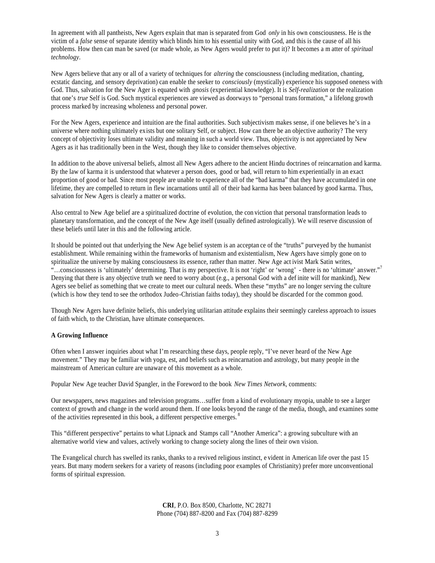In agreement with all pantheists, New Agers explain that man is separated from God *only* in his own consciousness. He is the victim of a *false* sense of separate identity which blinds him to his essential unity with God, and this is the cause of all his problems. How then can man be saved (or made whole, as New Agers would prefer to put it)? It becomes a m atter of *spiritual technology*.

New Agers believe that any or all of a variety of techniques for *altering* the consciousness (including meditation, chanting, ecstatic dancing, and sensory deprivation) can enable the seeker to *consciously* (mystically) experience his supposed oneness with God. Thus, salvation for the New Ager is equated with *gnosis* (experiential knowledge). It is *Self-realization* or the realization that one's *true* Self is God. Such mystical experiences are viewed as doorways to "personal transformation," a lifelong growth process marked by increasing wholeness and personal power.

For the New Agers, experience and intuition are the final authorities. Such subjectivism makes sense, if one believes he's in a universe where nothing ultimately exists but one solitary Self, or subject. How can there be an objective authority? The very concept of objectivity loses ultimate validity and meaning in such a world view. Thus, objectivity is not appreciated by New Agers as it has traditionally been in the West, though they like to consider themselves objective.

In addition to the above universal beliefs, almost all New Agers adhere to the ancient Hindu doctrines of reincarnation and karma. By the law of karma it is understood that whatever a person does, good or bad, will return to him experientially in an exact proportion of good or bad. Since most people are unable to experience all of the "bad karma" that they have accumulated in one lifetime, they are compelled to return in flew incarnations until all of their bad karma has been balanced by good karma. Thus, salvation for New Agers is clearly a matter or works.

Also central to New Age belief are a spiritualized doctrine of evolution, the con viction that personal transformation leads to planetary transformation, and the concept of the New Age itself (usually defined astrologically). We will reserve discussion of these beliefs until later in this and the following article.

It should be pointed out that underlying the New Age belief system is an acceptan ce of the "truths" purveyed by the humanist establishment. While remaining within the frameworks of humanism and existentialism, New Agers have simply gone on to spiritualize the universe by making consciousness its essence, rather than matter. New Age act ivist Mark Satin writes, "...consciousness is 'ultimately' determining. That is my perspective. It is not 'right' or 'wrong' - there is no 'ultimate' answer." Denying that there is any objective truth we need to worry about (e.g., a personal God with a def inite will for mankind), New Agers see belief as something that we create to meet our cultural needs. When these "myths" are no longer serving the culture (which is how they tend to see the orthodox Judeo-Christian faiths today), they should be discarded for the common good.

Though New Agers have definite beliefs, this underlying utilitarian attitude explains their seemingly careless approach to issues of faith which, to the Christian, have ultimate consequences.

## **A Growing Influence**

Often when I answer inquiries about what I'm researching these days, people reply, "I've never heard of the New Age movement." They may be familiar with yoga, est, and beliefs such as reincarnation and astrology, but many people in the mainstream of American culture are unaware of this movement as a whole.

Popular New Age teacher David Spangler, in the Foreword to the book *New Times Network*, comments:

Our newspapers, news magazines and television programs…suffer from a kind of evolutionary myopia, unable to see a larger context of growth and change in the world around them. If one looks beyond the range of the media, though, and examines some of the activities represented in this book, a different perspective emerges.<sup>8</sup>

This "different perspective" pertains to what Lipnack and Stamps call "Another America": a growing subculture with an alternative world view and values, actively working to change society along the lines of their own vision.

The Evangelical church has swelled its ranks, thanks to a revived religious instinct, e vident in American life over the past 15 years. But many modern seekers for a variety of reasons (including poor examples of Christianity) prefer more unconventional forms of spiritual expression.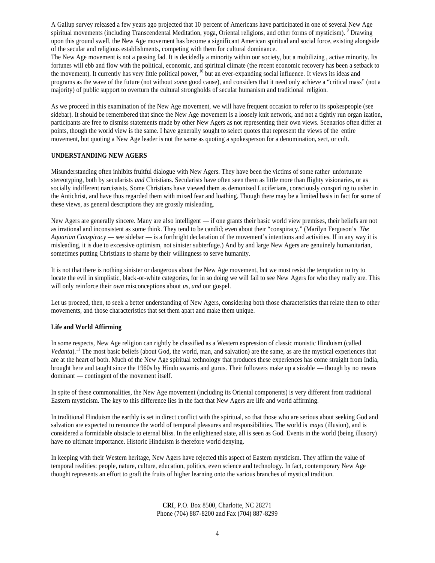A Gallup survey released a few years ago projected that 10 percent of Americans have participated in one of several New Age spiritual movements (including Transcendental Meditation, yoga, Oriental religions, and other forms of mysticism). <sup>9</sup> Drawing upon this ground swell, the New Age movement has become a significant American spiritual and social force, existing alongside of the secular and religious establishments, competing with them for cultural dominance.

The New Age movement is not a passing fad. It is decidedly a minority within our society, but a mobilizing , active minority. Its fortunes will ebb and flow with the political, economic, and spiritual climate (the recent economic recovery has been a setback to the movement). It currently has very little political power,  $^{10}$  but an ever-expanding social influence. It views its ideas and programs as the wave of the future (not without *some* good cause), and considers that it need only achieve a "critical mass" (not a majority) of public support to overturn the cultural strongholds of secular humanism and traditional religion.

As we proceed in this examination of the New Age movement, we will have frequent occasion to refer to its spokespeople (see sidebar). It should be remembered that since the New Age movement is a loosely knit network, and not a tightly run organ ization, participants are free to dismiss statements made by other New Agers as not representing their own views. Scenarios often differ at points, though the world view is the same. I have generally sought to select quotes that represent the views of the entire movement, but quoting a New Age leader is not the same as quoting a spokesperson for a denomination, sect, or cult.

## **UNDERSTANDING NEW AGERS**

Misunderstanding often inhibits fruitful dialogue with New Agers. They have been the victims of some rather unfortunate stereotyping, both by secularists *and* Christians. Secularists have often seen them as little more than flighty visionaries, or as socially indifferent narcissists. Some Christians have viewed them as demonized Luciferians, consciously conspiri ng to usher in the Antichrist, and have thus regarded them with mixed fear and loathing. Though there may be a limited basis in fact for some of these views, as general descriptions they are grossly misleading.

New Agers are generally sincere. Many are also intelligent — if one grants their basic world view premises, their beliefs are not as irrational and inconsistent as some think. They tend to be candid; even about their "conspiracy." (Marilyn Ferguson's *The Aquarian Conspiracy* — see sidebar — is a forthright declaration of the movement's intentions and activities. If in any way it is misleading, it is due to excessive optimism, not sinister subterfuge.) And by and large New Agers are genuinely humanitarian, sometimes putting Christians to shame by their willingness to serve humanity.

It is not that there is nothing sinister or dangerous about the New Age movement, but we must resist the temptation to try to locate the evil in simplistic, black-or-white categories, for in so doing we will fail to see New Agers for who they really are. This will only reinforce their *own* misconceptions about *us*, *and* our gospel.

Let us proceed, then, to seek a better understanding of New Agers, considering both those characteristics that relate them to other movements, and those characteristics that set them apart and make them unique.

## **Life and World Affirming**

In some respects, New Age religion can rightly be classified as a Western expression of classic monistic Hinduism (called *Vedanta*).<sup>11</sup> The most basic beliefs (about God, the world, man, and salvation) are the same, as are the mystical experiences that are at the heart of both. Much of the New Age spiritual technology that produces these experiences has come straight from India, brought here and taught since the 1960s by Hindu swamis and gurus. Their followers make up a sizable — though by no means dominant — contingent of the movement itself.

In spite of these commonalities, the New Age movement (including its Oriental components) is very different from traditional Eastern mysticism. The key to this difference lies in the fact that New Agers are life and world affirming.

In traditional Hinduism the earthly is set in direct conflict with the spiritual, so that those who are serious about seeking God and salvation are expected to renounce the world of temporal pleasures and responsibilities. The world is *maya* (illusion), and is considered a formidable obstacle to eternal bliss. In the enlightened state, all is seen as God. Events in the world (being illusory) have no ultimate importance. Historic Hinduism is therefore world denying.

In keeping with their Western heritage, New Agers have rejected this aspect of Eastern mysticism. They affirm the value of temporal realities: people, nature, culture, education, politics, eve n science and technology. In fact, contemporary New Age thought represents an effort to graft the fruits of higher learning onto the various branches of mystical tradition.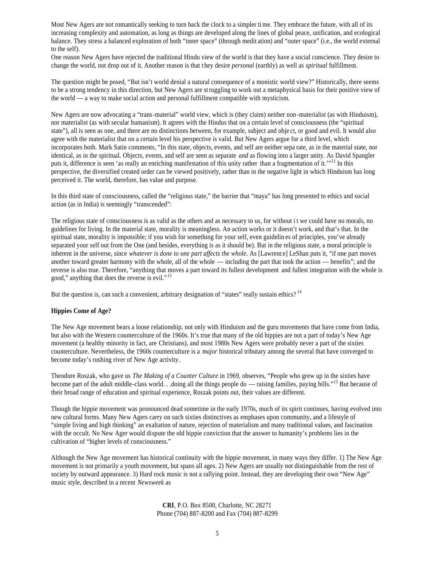Most New Agers are not romantically seeking to turn back the clock to a simpler ti me. They embrace the future, with all of its increasing complexity and automation, as long as things are developed along the lines of global peace, unification, and ecological balance. They stress a balanced exploration of both "inner space" (through medit ation) and "outer space" (i.e., the world external to the self).

One reason New Agers have rejected the traditional Hindu view of the world is that they have a social conscience. They desire to change the world, not drop out of it. Another reason is that t hey desire *personal* (earthly) as well as *spiritual* fulfillment.

The question might be posed, "But isn't world denial a natural consequence of a monistic world view?" Historically, there seems to be a strong tendency in this direction, but New Agers are struggling to work out a metaphysical basis for their positive view of the world — a way to make social action and personal fulfillment compatible with mysticism.

New Agers are now advocating a "trans-material" world view, which is (they claim) neither non-materialist (as with Hinduism), nor materialist (as with secular humanism). It agrees with the Hindus that on a certain level of consciousness (the "spiritual state"), all is seen as one, and there are no distinctions between, for example, subject and obje ct, or good and evil. It would also agree with the materialist that on a certain level his perspective is valid. But New Agers argue for a third level, which incorporates both. Mark Satin comments, "In this state, objects, events, and self are neither sepa rate, as in the material state, nor identical, as in the spiritual. Objects, events, and self are seen as separate *and* as flowing into a larger unity. As David Spangler puts it, difference is seen 'as really an enriching manifestation of this unity rather than a fragmentation of it.'"<sup>12</sup> In this perspective, the diversified created order can be viewed positively, rather than in the negative light in which Hinduism has long perceived it. The world, therefore, has value and purpose.

In this third state of consciousness, called the "religious state," the barrier that "maya" has long presented to ethics and social action (as in India) is seemingly "transcended":

The religious state of consciousness is as valid as the others and as necessary to us, for without i t we could have no morals, no guidelines for living. In the material state, morality is meaningless. An action works or it doesn't work, and that's that. In the spiritual state, morality is impossible; if you wish for something for your self, even guidelin es of principles, you've already separated your self out from the One (and besides, everything is as it should be). But in the religious state, a moral principle is inherent in the universe, since *whatever is done to one part affects the whole*. As [Lawrence] LeShan puts it, "if one part moves another toward greater harmony with the whole, all of the whole — including the part that took the action — benefits"; and the reverse is also true. Therefore, "anything that moves a part toward its fullest development and fullest integration with the whole is good," anything that does the reverse is evil."<sup>13</sup>

But the question is, can such a convenient, arbitrary designation of "states" really sustain ethics?<sup>14</sup>

#### **Hippies Come of Age?**

The New Age movement bears a loose relationship, not only with Hinduism and the guru movements that have come from India, but also with the Western counterculture of the 1960s. It's true that many of the old hippies are not a part of today's New Age movement (a healthy minority in fact, are Christians), and most 1980s New Agers were probably never a part of the sixties counterculture. Nevertheless, the 1960s counterculture is a *major* historical tributary among the several that have converged to become today's rushing river of New Age activity.

Theodore Roszak, who gave us *The Making of a Counter Culture* in 1969, observes, "People who grew up in the sixties have become part of the adult middle-class world. . .doing all the things people do — raising families, paying bills."<sup>15</sup> But because of their broad range of education and spiritual experience, Roszak points out, their values are different.

Though the hippie movement was pronounced dead sometime in the early 1970s, much of its spirit continues, having evolved into new cultural forms. Many New Agers carry on such sixties distinctives as emphases upon community, and a lifestyle of "simple living and high thinking" an exaltation of nature, rejection of materialism and many traditional values, and fascination with the occult. No New Ager would dispute the old hippie conviction that the answer to humanity's problems lies in the cultivation of "higher levels of consciousness."

Although the New Age movement has historical continuity with the hippie movement, in many ways they differ. 1) The New Age movement is not primarily a youth movement, but spans all ages. 2) New Agers are usually not distinguishable from the rest of society by outward appearance. 3) Hard rock music is not a rallying point. Instead, they are developing their own "New Age" music style, described in a recent *Newsweek* as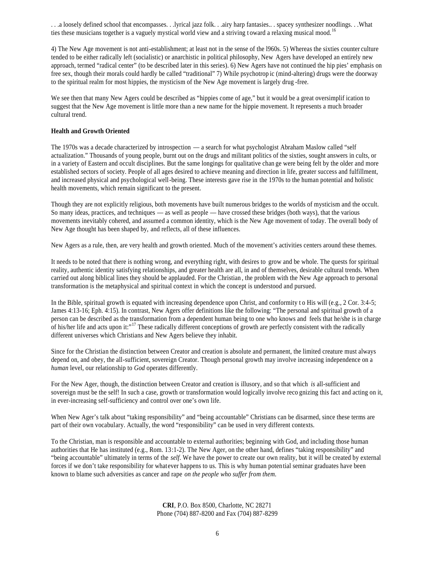. . .a loosely defined school that encompasses. . .lyrical jazz folk. . .airy harp fantasies.. . spacey synthesizer noodlings. . .What ties these musicians together is a vaguely mystical world view and a striving t oward a relaxing musical mood.<sup>16</sup>

4) The New Age movement is not anti-establishment; at least not in the sense of the l960s. 5) Whereas the sixties counter culture tended to be either radically left (socialistic) or anarchistic in political philosophy, New Agers have developed an entirely new approach, termed "radical center" (to be described later in this series). 6) New Agers have not continued the hip pies' emphasis on free sex, though their morals could hardly be called "traditional" 7) While psychotrop ic (mind-altering) drugs were the doorway to the spiritual realm for most hippies, the mysticism of the New Age movement is largely drug -free.

We see then that many New Agers could be described as "hippies come of age," but it would be a great oversimplif ication to suggest that the New Age movement is little more than a new name for the hippie movement. It represents a much broader cultural trend.

## **Health and Growth Oriented**

The 1970s was a decade characterized by introspection — a search for what psychologist Abraham Maslow called "self actualization." Thousands of young people, burnt out on the drugs and militant politics of the sixties, sought answers in cults, or in a variety of Eastern and occult disciplines. But the same longings for qualitative chan ge were being felt by the older and more established sectors of society. People of all ages desired to achieve meaning and direction in life, greater success and fulfillment, and increased physical and psychological well-being. These interests gave rise in the 1970s to the human potential and holistic health movements, which remain significant to the present.

Though they are not explicitly religious, both movements have built numerous bridges to the worlds of mysticism and the occult. So many ideas, practices, and techniques — as well as people — have crossed these bridges (both ways), that the various movements inevitably cohered, and assumed a common identity, which is the New Age movement of today. The overall body of New Age thought has been shaped by, and reflects, all of these influences.

New Agers as a rule, then, are very health and growth oriented. Much of the movement's activities centers around these themes.

It needs to be noted that there is nothing wrong, and everything right, with desires to grow and be whole. The quests for spiritual reality, authentic identity satisfying relationships, and greater health are all, in and of themselves, desirable cultural trends. When carried out along biblical lines they should be applauded. For the Christian , the problem with the New Age approach to personal transformation is the metaphysical and spiritual context in which the concept is understood and pursued.

In the Bible, spiritual growth is equated with increasing dependence upon Christ, and conformity to His will (e.g., 2 Cor. 3:4-5; James 4:13-16; Eph. 4:15). In contrast, New Agers offer definitions like the following: "The personal and spiritual growth of a person can be described as the transformation from a dependent human being to one who knows and feels that he/she is in charge of his/her life and acts upon it:"<sup>17</sup> These radically different conceptions of growth are perfectly consistent with the radically different universes which Christians and New Agers believe they inhabit.

Since for the Christian the distinction between Creator and creation is absolute and permanent, the limited creature must always depend on, and obey, the all-sufficient, sovereign Creator. Though personal growth may involve increasing independence on a *human* level, our relationship to *God* operates differently.

For the New Ager, though, the distinction between Creator and creation is illusory, and so that which *is* all-sufficient and sovereign must be the self! In such a case, growth or transformation would logically involve reco gnizing this fact and acting on it, in ever-increasing self-sufficiency and control over one's own life.

When New Ager's talk about "taking responsibility" and "being accountable" Christians can be disarmed, since these terms are part of their own vocabulary. Actually, the word "responsibility" can be used in very different contexts.

To the Christian, man is responsible and accountable to external authorities; beginning with God, and including those human authorities that He has instituted (e.g., Rom. 13:1-2). The New Ager, on the other hand, defines "taking responsibility" and "being accountable" ultimately in terms of the *self*. We have the power to create our own reality, but it will be created by external forces if we don't take responsibility for whatever happens to us. This is why human potential seminar graduates have been known to blame such adversities as cancer and rape *on the people who suffer from them*.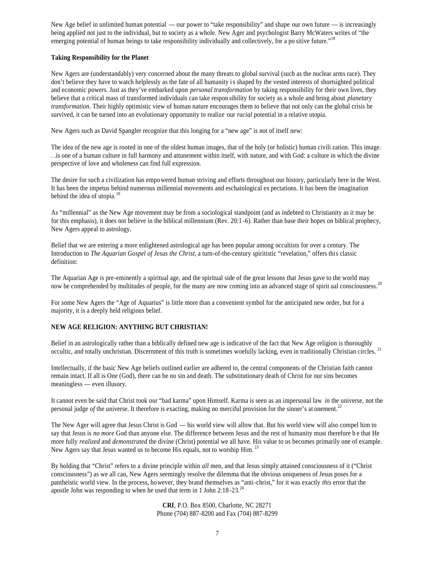New Age belief in unlimited human potential — our power to "take responsibility" and shape our own future — is increasingly being applied not just to the individual, but to society as a whole. New Ager and psychologist Barry McWaters writes of "the emerging potential of human beings to take responsibility individually and collectively, for a po sitive future."<sup>18</sup>

# **Taking Responsibility for the Planet**

New Agers are (understandably) very concerned about the many threats to global survival (such as the nuclear arms race). They don't believe they have to watch helplessly as the fate of all humanity is shaped by the vested interests of shortsighted political and economic powers. Just as they've embarked upon *personal transformation* by taking responsibility for their own lives, they believe that a critical mass of transformed individuals can take respon sibility for society as a whole and bring about *planetary transformation*. Their highly optimistic view of human nature encourages them to believe that not only can the global crisis be survived, it can be turned into an evolutionary opportunity to realize our *racial* potential in a relative utopia.

New Agers such as David Spangler recognize that this longing for a "new age" is not of itself new:

The idea of the new age is rooted in one of the oldest human images, that of the holy (or holistic) human civili zation. This image. . .is one of a human culture in full harmony and attunement within itself, with nature, and with God: a culture in which the divine perspective of love and wholeness can find full expression.

The desire for such a civilization has empowered human striving and efforts throughout our history, particularly here in the West. It has been the impetus behind numerous millennial movements and eschatological ex pectations. It has been the imagination behind the idea of utopia.<sup>19</sup>

As "millennial" as the New Age movement may be from a sociological standpoint (and as indebted to Christianity as it may be for this emphasis), it does not believe in the biblical millennium (Rev. 20:1 -6). Rather than base their hopes on biblical prophecy, New Agers appeal to astrology.

Belief that we are entering a more enlightened astrological age has been popular among occultists for over a century. The Introduction to *The Aquarian Gospel of Jesus the Christ*, a turn-of-the-century spiritistic "revelation," offers this classic definition:

The Aquarian Age is pre-eminently a spiritual age, and the spiritual side of the great lessons that Jesus gave to the world may now be comprehended by multitudes of people, for the many are now coming into an advanced stage of spirit ual consciousness.<sup>20</sup>

For some New Agers the "Age of Aquarius" is little more than a convenient symbol for the anticipated new order, but for a majority, it is a deeply held religious belief.

# **NEW AGE RELIGION: ANYTHING BUT CHRISTIAN!**

Belief in an astrologically rather than a biblically defined new age is indicative of the fact that New Age religion is thoroughly occultic, and totally unchristian. Discernment of this truth is sometimes woefully lacking, even in traditionally Christian circles.<sup>21</sup>

Intellectually, if the basic New Age beliefs outlined earlier are adhered to, the central components of the Christian faith cannot remain intact. If all is One (God), there can be no sin and death. The substitutionary death of Christ for our sins becomes meaningless — even illusory.

It cannot even be said that Christ took our "bad karma" upon Himself. Karma is seen as an impersonal law *in* the universe, not the personal judge *of* the universe. It therefore is exacting, making no merciful provision for the sinner's at onement.<sup>22</sup>

The New Ager will agree that Jesus Christ is God — his world view will allow that. But his world view will also compel him to say that Jesus is *no more* God than anyone else. The difference between Jesus and the rest of humanity must therefore b e that He more fully *realized* and *demonstrated* the divine (Christ) potential we all have. His value to us becomes primarily one of example. New Agers say that Jesus wanted us to become His equals, not to worship Him.<sup>23</sup>

By holding that "Christ" refers to a divine principle within *all* men, and that Jesus simply attained consciousness of it ("Christ consciousness") as we all can, New Agers seemingly resolve the dilemma that the obvious uniqueness of Jesus poses for a pantheistic world view. In the process, however, they brand themselves as "anti-christ," for it was exactly *this* error that the apostle John was responding to when he used that term in 1 John  $2:18-23.^{24}$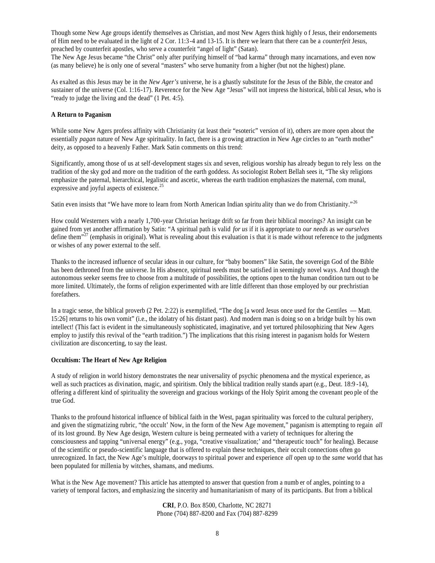Though some New Age groups identify themselves as Christian, and most New Agers think highly o f Jesus, their endorsements of Him need to be evaluated in the light of 2 Cor. 11:3-4 and 13-15. It is there we learn that there can be a *counterfeit* Jesus, preached by counterfeit apostles, who serve a counterfeit "angel of light" (Satan).

The New Age Jesus became "the Christ" only after purifying himself of "bad karma" through many incarnations, and even now (as many believe) he is only one of several "masters" who serve humanity from a higher (but not the highest) plane.

As exalted as this Jesus may be in the *New Ager's* universe, he is a ghastly substitute for the Jesus of the Bible, the creator and sustainer of the universe (Col. 1:16-17). Reverence for the New Age "Jesus" will not impress the historical, bibli cal Jesus, who is "ready to judge the living and the dead" (1 Pet. 4:5).

#### **A Return to Paganism**

While some New Agers profess affinity with Christianity (at least their "esoteric" version of it), others are more open about the essentially *pagan* nature of New Age spirituality. In fact, there is a growing attraction in New Age circles to an "earth mother" deity, as opposed to a heavenly Father. Mark Satin comments on this trend:

Significantly, among those of us at self-development stages six and seven, religious worship has already begun to rely less on the tradition of the sky god and more on the tradition of the earth goddess. As sociologist Robert Bellah sees it, "The sky religions emphasize the paternal, hierarchical, legalistic and ascetic, whereas the earth tradition emphasizes the maternal, com munal, expressive and joyful aspects of existence.<sup>2</sup>

Satin even insists that "We have more to learn from North American Indian spiritu ality than we do from Christianity."<sup>26</sup>

How could Westerners with a nearly 1,700-year Christian heritage drift so far from their biblical moorings? An insight can be gained from yet another affirmation by Satin: "A spiritual path is valid *for us* if it is appropriate to *our needs* as *we ourselves* define them<sup> $27$ </sup> (emphasis in original). What is revealing about this evaluation is that it is made without reference to the judgments or wishes of any power external to the self.

Thanks to the increased influence of secular ideas in our culture, for "baby boomers" like Satin, the sovereign God of the Bible has been dethroned from the universe. In His absence, spiritual needs must be satisfied in seemingly novel ways. And though the autonomous seeker seems free to choose from a multitude of possibilities, the options open to the human condition turn out to be more limited. Ultimately, the forms of religion experimented with are little different than those employed by our prechristian forefathers.

In a tragic sense, the biblical proverb (2 Pet. 2:22) is exemplified, "The dog [a word Jesus once used for the Gentiles — Matt. 15:26] returns to his own vomit" (i.e., the idolatry of his distant past). And modern man is doing so on a bridge built by his own intellect! (This fact is evident in the simultaneously sophisticated, imaginative, and yet tortured philosophizing that New Agers employ to justify this revival of the "earth tradition.") The implications that this rising interest in paganism holds for Western civilization are disconcerting, to say the least.

# **Occultism: The Heart of New Age Religion**

A study of religion in world history demonstrates the near universality of psychic phenomena and the mystical experience, as well as such practices as divination, magic, and spiritism. Only the biblical tradition really stands apart (e.g., Deut. 18:9-14), offering a different kind of spirituality the sovereign and gracious workings of the Holy Spirit among the covenant peo ple of the true God.

Thanks to the profound historical influence of biblical faith in the West, pagan spirituality was forced to the cultural periphery, and given the stigmatizing rubric, "the occult' Now, in the form of the New Age movement," paganism is attempting to regain *all* of its lost ground. By New Age design, Western culture is being permeated with a variety of techniques for altering the consciousness and tapping "universal energy" (e.g., yoga, "creative visualization;' and "therapeutic touch" for healing). Because of the scientific or pseudo-scientific language that is offered to explain these techniques, their occult connections often go unrecognized. In fact, the New Age's multiple, doorways to spiritual power and experience *all* open up to the *same* world that has been populated for millenia by witches, shamans, and mediums.

What is the New Age movement? This article has attempted to answer that question from a numb er of angles, pointing to a variety of temporal factors, and emphasizing the sincerity and humanitarianism of many of its participants. But from a biblical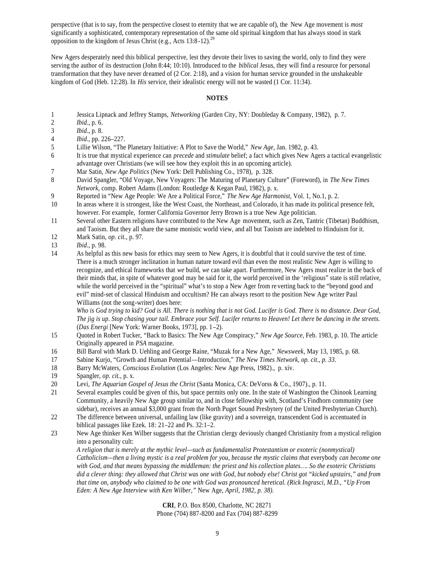perspective (that is to say, from the perspective closest to eternity that we are capable of), the New Age movement is *most* significantly a sophisticated, contemporary representation of the same old spiritual kingdom that has always stood in stark opposition to the kingdom of Jesus Christ (e.g., Acts  $13:8-12$ ).<sup>29</sup>

New Agers desperately need this biblical perspective, lest they devote their lives to saving the world, only to find they were serving the author of its destruction (John 8:44; 10:10). Introduced to the *biblical* Jesus, they will find a resource for personal transformation that they have never dreamed of (2 Cor. 2:18), and a vision for human service grounded in the unshakeable kingdom of God (Heb. 12:28). In *His* service, their idealistic energy will not be wasted (1 Cor. 11:34).

# **NOTES**

- 1 Jessica Lipnack and Jeffrey Stamps, *Networking* (Garden City, NY: Doubleday & Company, 1982), p. 7.
- 2 *Ibid*., p. 6.
- 3 *Ibid*., p. 8.
- 4 *Ibid*., pp. 226–227.
- 5 Lillie Wilson, "The Planetary Initiative: A Plot to Save the World," *New Age,* Jan. 1982, p. 43.
- 6 It is true that mystical experience can *precede* and *stimulate* belief; a fact which gives New Agers a tactical evangelistic advantage over Christians (we will see how they exploit this in an upcoming article).
- 7 Mar Satin, *New Age Politics* (New York: Dell Publishing Co., 1978), p. 328.
- 8 David Spangler, "Old Voyage, New Voyagers: The Maturing of Planetary Culture" (Foreword), in *The New Times Network,* comp. Robert Adams (London: Routledge & Kegan Paul, 1982), p. x.
- 9 Reported in "New Age People: We Are a Political Force," *The New Age Harmonist,* Vol. 1, No.1, p. 2.
- 10 In areas where it is strongest, like the West Coast, the Northeast, and Colorado, it has made its political presence felt, however. For example, former California Governor Jerry Brown is a true New Age politician.
- 11 Several other Eastern religions have contributed to the New Age movement, such as Zen, Tantric (Tibetan) Buddhism, and Taoism. But they all share the same monistic world view, and all but Taoism are indebted to Hinduism for it.
- 12 Mark Satin, *op. cit.,* p. 97.
- 13 *Ibid*., p. 98.
- 14 As helpful as this new basis for ethics may seem to New Agers, it is doubtful that it could survive the test of time. There is a much stronger inclination in human nature toward evil than even the most realistic New Ager is willing to recognize, and ethical frameworks that *we* build, *we* can take apart. Furthermore, New Agers must realize in the back of their minds that, in spite of whatever good may be said for it, the world perceived in the 'religious" state is still relative, while the world perceived in the "spiritual" what's to stop a New Ager from reverting back to the "beyond good and evil" mind-set of classical Hinduism and occultism? He can always resort to the position New Age writer Paul Williams (not the song-writer) does here:

*Who is God trying to kid? God is All. There is nothing that is not God. Lucifer is God. There is no distance. Dear God, The jig is up. Stop chasing your tail. Embrace your Self. Lucifer returns to Heaven! Let there be dancing in the streets.* (*Das Energi* [New York: Warner Books, 1973], pp. 1–2).

- 15 Quoted in Robert Tucker, "Back to Basics: The New Age Conspiracy," *New Age Source,* Feb. 1983, p. 10. The article Originally appeared in *PSA* magazine.
- 16 Bill Barol with Mark D. Uehling and George Raine, "Muzak for a New Age," *Newsweek*, May 13, 1985, p. 68.
- 17 Sabine Kurjo, "Growth and Human Potential—Introduction," *The New Times Network, op. cit., p. 33.*
- 18 Barry McWaters, *Conscious Evolution* (Los Angeles: New Age Press, 1982)., p. xiv.
- 19 Spangler, *op. cit.,* p. x.
- 20 Levi, *The Aquarian Gospel of Jesus the Christ* (Santa Monica, CA: DeVorss & Co., 1907)., p. 11.
- 21 Several examples could be given of this, but space permits only one. In the state of Washington the Chinook Learning Community, a heavily New Age group similar to, and in close fellowship with, Scotland's Findhorn community (see sidebar), receives an annual \$3,000 grant from the North Puget Sound Presbytery (of the United Presbyterian Church).
- 22 The difference between universal, unfailing law (like gravity) and a sovereign, transcendent God is accentuated in biblical passages like Ezek. 18: 21–22 and Ps. 32:1–2.
- 23 New Age thinker Ken Wilber suggests that the Christian clergy deviously changed Christianity from a mystical religion into a personality cult:

*A religion that is merely at the mythic level—such as fundamentalist Protestantism or exoteric (nonmystical) Catholicism—then a living mystic is a real problem for you, because the mystic claims that* everybody *can become one with God, and that means bypassing the middleman: the priest and his collection plates…. So the exoteric Christians did a clever thing: they allowed that Christ was one with God, but nobody else! Christ got "kicked upstairs," and from that time on, anybody who claimed to be one with God was pronounced heretical. (Rick Ingrasci, M.D., "Up From Eden: A New Age Interview with Ken Wilber,"* New Age, *April, 1982, p. 38).*